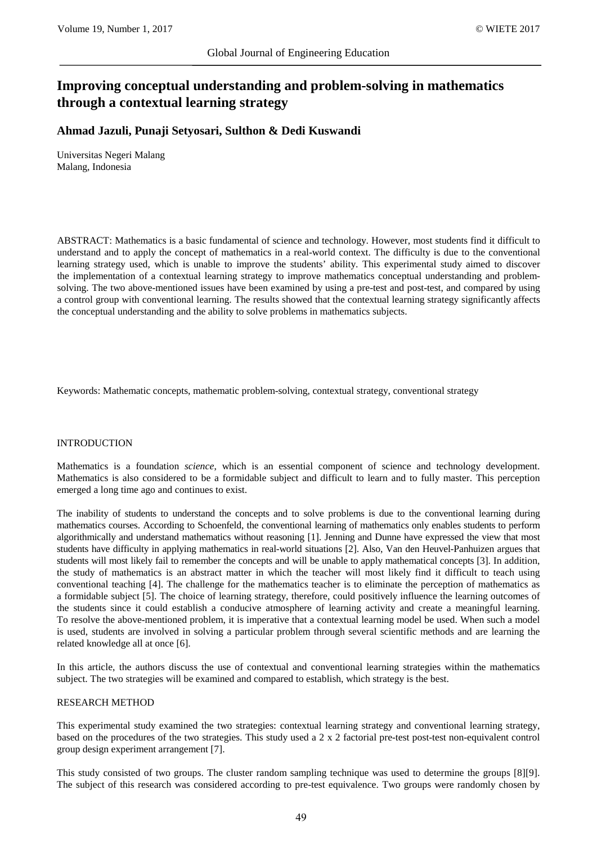# **Improving conceptual understanding and problem-solving in mathematics through a contextual learning strategy**

## **Ahmad Jazuli, Punaji Setyosari, Sulthon & Dedi Kuswandi**

Universitas Negeri Malang Malang, Indonesia

ABSTRACT: Mathematics is a basic fundamental of science and technology. However, most students find it difficult to understand and to apply the concept of mathematics in a real-world context. The difficulty is due to the conventional learning strategy used, which is unable to improve the students' ability. This experimental study aimed to discover the implementation of a contextual learning strategy to improve mathematics conceptual understanding and problemsolving. The two above-mentioned issues have been examined by using a pre-test and post-test, and compared by using a control group with conventional learning. The results showed that the contextual learning strategy significantly affects the conceptual understanding and the ability to solve problems in mathematics subjects.

Keywords: Mathematic concepts, mathematic problem-solving, contextual strategy, conventional strategy

#### INTRODUCTION

Mathematics is a foundation *science*, which is an essential component of science and technology development. Mathematics is also considered to be a formidable subject and difficult to learn and to fully master. This perception emerged a long time ago and continues to exist.

The inability of students to understand the concepts and to solve problems is due to the conventional learning during mathematics courses. According to Schoenfeld, the conventional learning of mathematics only enables students to perform algorithmically and understand mathematics without reasoning [1]. Jenning and Dunne have expressed the view that most students have difficulty in applying mathematics in real-world situations [2]. Also, Van den Heuvel-Panhuizen argues that students will most likely fail to remember the concepts and will be unable to apply mathematical concepts [3]. In addition, the study of mathematics is an abstract matter in which the teacher will most likely find it difficult to teach using conventional teaching [4]. The challenge for the mathematics teacher is to eliminate the perception of mathematics as a formidable subject [5]. The choice of learning strategy, therefore, could positively influence the learning outcomes of the students since it could establish a conducive atmosphere of learning activity and create a meaningful learning. To resolve the above-mentioned problem, it is imperative that a contextual learning model be used. When such a model is used, students are involved in solving a particular problem through several scientific methods and are learning the related knowledge all at once [6].

In this article, the authors discuss the use of contextual and conventional learning strategies within the mathematics subject. The two strategies will be examined and compared to establish, which strategy is the best.

#### RESEARCH METHOD

This experimental study examined the two strategies: contextual learning strategy and conventional learning strategy, based on the procedures of the two strategies. This study used a 2 x 2 factorial pre-test post-test non-equivalent control group design experiment arrangement [7].

This study consisted of two groups. The cluster random sampling technique was used to determine the groups [8][9]. The subject of this research was considered according to pre-test equivalence. Two groups were randomly chosen by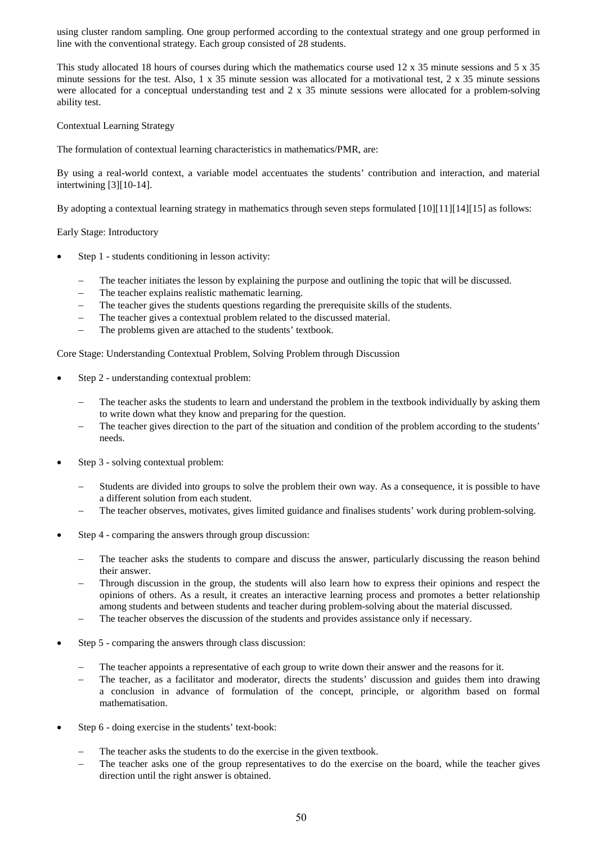using cluster random sampling. One group performed according to the contextual strategy and one group performed in line with the conventional strategy. Each group consisted of 28 students.

This study allocated 18 hours of courses during which the mathematics course used 12 x 35 minute sessions and 5 x 35 minute sessions for the test. Also,  $1 \times 35$  minute session was allocated for a motivational test,  $2 \times 35$  minute sessions were allocated for a conceptual understanding test and 2 x 35 minute sessions were allocated for a problem-solving ability test.

## Contextual Learning Strategy

The formulation of contextual learning characteristics in mathematics/PMR, are:

By using a real-world context, a variable model accentuates the students' contribution and interaction, and material intertwining [3][10-14].

By adopting a contextual learning strategy in mathematics through seven steps formulated [10][11][14][15] as follows:

Early Stage: Introductory

- Step 1 students conditioning in lesson activity:
	- The teacher initiates the lesson by explaining the purpose and outlining the topic that will be discussed.
	- The teacher explains realistic mathematic learning.
	- − The teacher gives the students questions regarding the prerequisite skills of the students.
	- The teacher gives a contextual problem related to the discussed material.
	- The problems given are attached to the students' textbook.

Core Stage: Understanding Contextual Problem, Solving Problem through Discussion

- Step 2 understanding contextual problem:
	- The teacher asks the students to learn and understand the problem in the textbook individually by asking them to write down what they know and preparing for the question.
	- The teacher gives direction to the part of the situation and condition of the problem according to the students' needs.
- Step 3 solving contextual problem:
	- Students are divided into groups to solve the problem their own way. As a consequence, it is possible to have a different solution from each student.
	- The teacher observes, motivates, gives limited guidance and finalises students' work during problem-solving.
- Step 4 comparing the answers through group discussion:
	- The teacher asks the students to compare and discuss the answer, particularly discussing the reason behind their answer.
	- Through discussion in the group, the students will also learn how to express their opinions and respect the opinions of others. As a result, it creates an interactive learning process and promotes a better relationship among students and between students and teacher during problem-solving about the material discussed.
	- The teacher observes the discussion of the students and provides assistance only if necessary.
- Step 5 comparing the answers through class discussion:
	- The teacher appoints a representative of each group to write down their answer and the reasons for it.
	- The teacher, as a facilitator and moderator, directs the students' discussion and guides them into drawing a conclusion in advance of formulation of the concept, principle, or algorithm based on formal mathematisation.
- Step 6 doing exercise in the students' text-book:
	- The teacher asks the students to do the exercise in the given textbook.
	- The teacher asks one of the group representatives to do the exercise on the board, while the teacher gives direction until the right answer is obtained.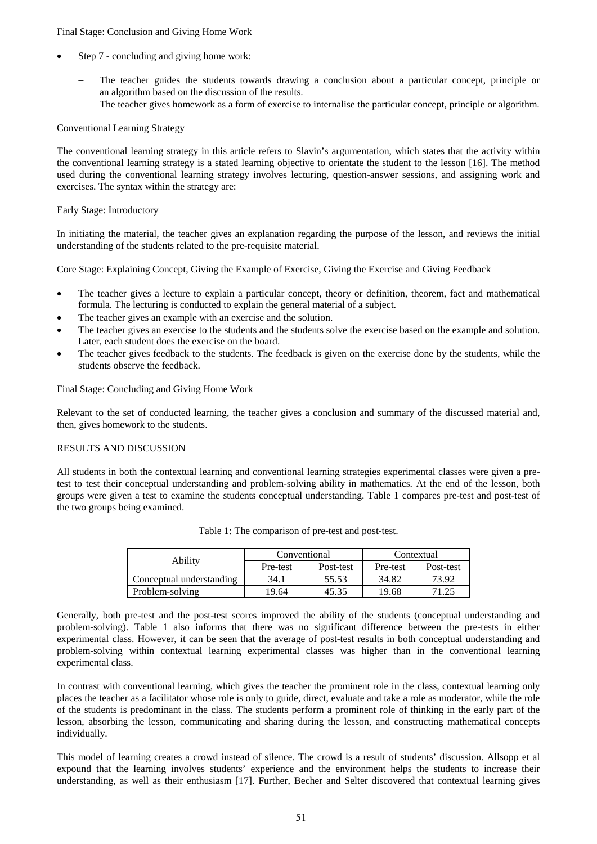#### Final Stage: Conclusion and Giving Home Work

- Step 7 concluding and giving home work:
	- The teacher guides the students towards drawing a conclusion about a particular concept, principle or an algorithm based on the discussion of the results.
	- The teacher gives homework as a form of exercise to internalise the particular concept, principle or algorithm.

#### Conventional Learning Strategy

The conventional learning strategy in this article refers to Slavin's argumentation, which states that the activity within the conventional learning strategy is a stated learning objective to orientate the student to the lesson [16]. The method used during the conventional learning strategy involves lecturing, question-answer sessions, and assigning work and exercises. The syntax within the strategy are:

#### Early Stage: Introductory

In initiating the material, the teacher gives an explanation regarding the purpose of the lesson, and reviews the initial understanding of the students related to the pre-requisite material.

Core Stage: Explaining Concept, Giving the Example of Exercise, Giving the Exercise and Giving Feedback

- The teacher gives a lecture to explain a particular concept, theory or definition, theorem, fact and mathematical formula. The lecturing is conducted to explain the general material of a subject.
- The teacher gives an example with an exercise and the solution.
- The teacher gives an exercise to the students and the students solve the exercise based on the example and solution. Later, each student does the exercise on the board.
- The teacher gives feedback to the students. The feedback is given on the exercise done by the students, while the students observe the feedback.

Final Stage: Concluding and Giving Home Work

Relevant to the set of conducted learning, the teacher gives a conclusion and summary of the discussed material and, then, gives homework to the students.

#### RESULTS AND DISCUSSION

All students in both the contextual learning and conventional learning strategies experimental classes were given a pretest to test their conceptual understanding and problem-solving ability in mathematics. At the end of the lesson, both groups were given a test to examine the students conceptual understanding. Table 1 compares pre-test and post-test of the two groups being examined.

| Ability                  | Conventional |           | Contextual |           |
|--------------------------|--------------|-----------|------------|-----------|
|                          | Pre-test     | Post-test | Pre-test   | Post-test |
| Conceptual understanding | 34.1         | 55.53     | 34.82      | 73.92     |
| Problem-solving          | 19.64        | 45.35     | 19.68      | .25       |

Generally, both pre-test and the post-test scores improved the ability of the students (conceptual understanding and problem-solving). Table 1 also informs that there was no significant difference between the pre-tests in either experimental class. However, it can be seen that the average of post-test results in both conceptual understanding and problem-solving within contextual learning experimental classes was higher than in the conventional learning experimental class.

In contrast with conventional learning, which gives the teacher the prominent role in the class, contextual learning only places the teacher as a facilitator whose role is only to guide, direct, evaluate and take a role as moderator, while the role of the students is predominant in the class. The students perform a prominent role of thinking in the early part of the lesson, absorbing the lesson, communicating and sharing during the lesson, and constructing mathematical concepts individually.

This model of learning creates a crowd instead of silence. The crowd is a result of students' discussion. Allsopp et al expound that the learning involves students' experience and the environment helps the students to increase their understanding, as well as their enthusiasm [17]. Further, Becher and Selter discovered that contextual learning gives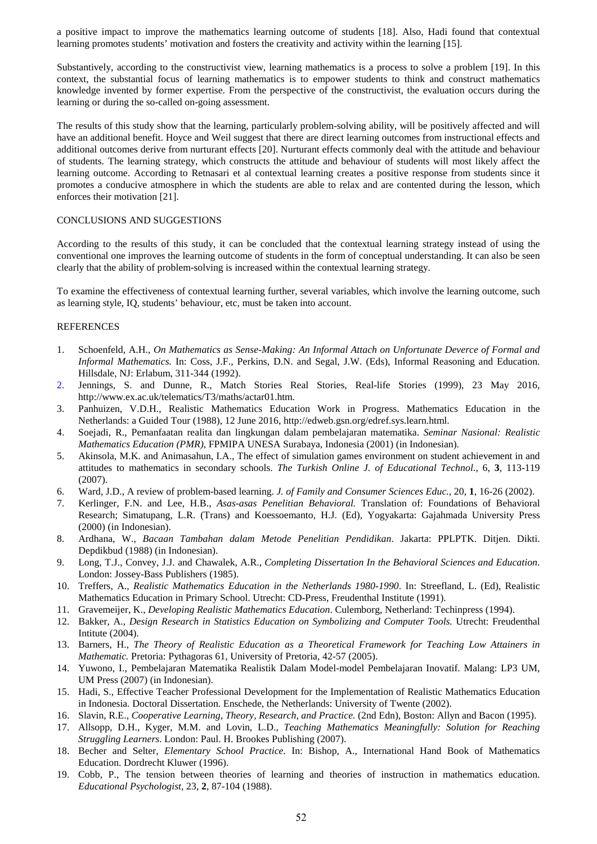a positive impact to improve the mathematics learning outcome of students [18]. Also, Hadi found that contextual learning promotes students' motivation and fosters the creativity and activity within the learning [15].

Substantively, according to the constructivist view, learning mathematics is a process to solve a problem [19]. In this context, the substantial focus of learning mathematics is to empower students to think and construct mathematics knowledge invented by former expertise. From the perspective of the constructivist, the evaluation occurs during the learning or during the so-called on-going assessment.

The results of this study show that the learning, particularly problem-solving ability, will be positively affected and will have an additional benefit. Hoyce and Weil suggest that there are direct learning outcomes from instructional effects and additional outcomes derive from nurturant effects [20]. Nurturant effects commonly deal with the attitude and behaviour of students. The learning strategy, which constructs the attitude and behaviour of students will most likely affect the learning outcome. According to Retnasari et al contextual learning creates a positive response from students since it promotes a conducive atmosphere in which the students are able to relax and are contented during the lesson, which enforces their motivation [21].

#### CONCLUSIONS AND SUGGESTIONS

According to the results of this study, it can be concluded that the contextual learning strategy instead of using the conventional one improves the learning outcome of students in the form of conceptual understanding. It can also be seen clearly that the ability of problem-solving is increased within the contextual learning strategy.

To examine the effectiveness of contextual learning further, several variables, which involve the learning outcome, such as learning style, IQ, students' behaviour, etc, must be taken into account.

## **REFERENCES**

- 1. Schoenfeld, A.H., *On Mathematics as Sense-Making: An Informal Attach on Unfortunate Deverce of Formal and Informal Mathematics.* In: Coss, J.F., Perkins, D.N. and Segal, J.W. (Eds), Informal Reasoning and Education. Hillsdale, NJ: Erlabum, 311-344 (1992).
- 2. Jennings, S. and Dunne, R., Match Stories Real Stories, Real-life Stories (1999), 23 May 2016, http://www.ex.ac.uk/telematics/T3/maths/actar01.htm.
- 3. Panhuizen, V.D.H., Realistic Mathematics Education Work in Progress. Mathematics Education in the Netherlands: a Guided Tour (1988), 12 June 2016, http://edweb.gsn.org/edref.sys.learn.html.
- 4. Soejadi, R., Pemanfaatan realita dan lingkungan dalam pembelajaran matematika. *Seminar Nasional: Realistic Mathematics Education (PMR)*, FPMIPA UNESA Surabaya, Indonesia (2001) (in Indonesian).
- 5. Akinsola, M.K. and Animasahun, I.A., The effect of simulation games environment on student achievement in and attitudes to mathematics in secondary schools. *The Turkish Online J. of Educational Technol.*, 6, **3**, 113-119 (2007).
- 6. Ward, J.D., A review of problem-based learning. *J. of Family and Consumer Sciences Educ.*, 20, **1**, 16-26 (2002).
- 7. Kerlinger, F.N. and Lee, H.B., *Asas-asas Penelitian Behavioral.* Translation of: Foundations of Behavioral Research; Simatupang, L.R. (Trans) and Koessoemanto, H.J. (Ed), Yogyakarta: Gajahmada University Press (2000) (in Indonesian).
- 8. Ardhana, W., *Bacaan Tambahan dalam Metode Penelitian Pendidikan*. Jakarta: PPLPTK. Ditjen. Dikti. Depdikbud (1988) (in Indonesian).
- 9. Long, T.J., Convey, J.J. and Chawalek, A.R., *Completing Dissertation In the Behavioral Sciences and Education*. London: Jossey-Bass Publishers (1985).
- 10. Treffers, A., *Realistic Mathematics Education in the Netherlands 1980-1990*. In: Streefland, L. (Ed), Realistic Mathematics Education in Primary School. Utrecht: CD-Press, Freudenthal Institute (1991).
- 11. Gravemeijer, K., *Developing Realistic Mathematics Education*. Culemborg, Netherland: Techinpress (1994).
- 12. Bakker, A., *Design Research in Statistics Education on Symbolizing and Computer Tools.* Utrecht: Freudenthal Intitute (2004).
- 13. Barners, H., *The Theory of Realistic Education as a Theoretical Framework for Teaching Low Attainers in Mathematic.* Pretoria: Pythagoras 61, University of Pretoria, 42-57 (2005).
- 14. Yuwono, I., Pembelajaran Matematika Realistik Dalam Model-model Pembelajaran Inovatif. Malang: LP3 UM, UM Press (2007) (in Indonesian).
- 15. Hadi, S., Effective Teacher Professional Development for the Implementation of Realistic Mathematics Education in Indonesia*.* Doctoral Dissertation. Enschede, the Netherlands: University of Twente (2002).
- 16. Slavin, R.E., *Cooperative Learning, Theory, Research, and Practice.* (2nd Edn), Boston: Allyn and Bacon (1995).
- 17. Allsopp, D.H., Kyger, M.M. and Lovin, L.D., *Teaching Mathematics Meaningfully: Solution for Reaching Struggling Learners*. London: Paul. H. Brookes Publishing (2007).
- 18. Becher and Selter, *Elementary School Practice.* In: Bishop, A., International Hand Book of Mathematics Education. Dordrecht Kluwer (1996).
- 19. Cobb, P., The tension between theories of learning and theories of instruction in mathematics education. *Educational Psychologist*, 23, **2**, 87-104 (1988).